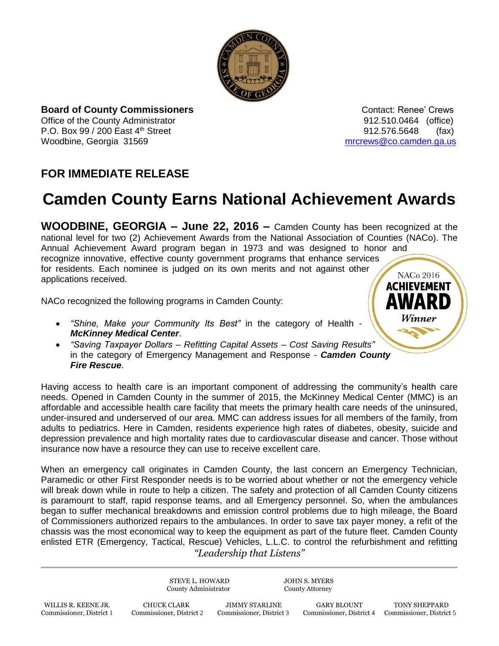

**Board of County Commissioners Contact: Renee' Crews Contact: Renee' Crews** Office of the County Administrator **Connect Administrator 912.510.0464** (office) P.O. Box 99 / 200 East 4<sup>th</sup> Street 912.576.5648 (fax) Woodbine, Georgia 31569 metal was also as a metal was made to meet the metal was more was a metal was well as  $\alpha$  metal was a metal was a metal was a metal was a metal was a metal was a metal was a metal was a metal was a

## **FOR IMMEDIATE RELEASE**

## **Camden County Earns National Achievement Awards**

**WOODBINE, GEORGIA – June 22, 2016 –** Camden County has been recognized at the national level for two (2) Achievement Awards from the National Association of Counties (NACo). The Annual Achievement Award program began in 1973 and was designed to honor and recognize innovative, effective county government programs that enhance services for residents. Each nominee is judged on its own merits and not against other **NACo 2016** applications received. **ACHIEVEMENT** 

NACo recognized the following programs in Camden County:

- *"Shine, Make your Community Its Best"* in the category of Health *McKinney Medical Center*.
- *"Saving Taxpayer Dollars – Refitting Capital Assets – Cost Saving Results"* in the category of Emergency Management and Response - *Camden County Fire Rescue*.

Having access to health care is an important component of addressing the community's health care needs. Opened in Camden County in the summer of 2015, the McKinney Medical Center (MMC) is an affordable and accessible health care facility that meets the primary health care needs of the uninsured, under-insured and underserved of our area. MMC can address issues for all members of the family, from adults to pediatrics. Here in Camden, residents experience high rates of diabetes, obesity, suicide and depression prevalence and high mortality rates due to cardiovascular disease and cancer. Those without insurance now have a resource they can use to receive excellent care.

*"Leadership that Listens"* When an emergency call originates in Camden County, the last concern an Emergency Technician, Paramedic or other First Responder needs is to be worried about whether or not the emergency vehicle will break down while in route to help a citizen. The safety and protection of all Camden County citizens is paramount to staff, rapid response teams, and all Emergency personnel. So, when the ambulances began to suffer mechanical breakdowns and emission control problems due to high mileage, the Board of Commissioners authorized repairs to the ambulances. In order to save tax payer money, a refit of the chassis was the most economical way to keep the equipment as part of the future fleet. Camden County enlisted ETR (Emergency, Tactical, Rescue) Vehicles, L.L.C. to control the refurbishment and refitting

> STEVE L. HOWARD JOHN S. MYERS County Administrator County Attorney

Commissioner, District 4 Commissioner, District 5